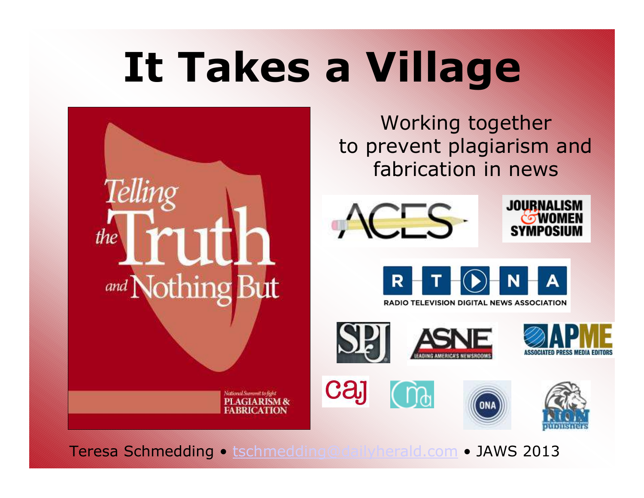# **It Takes a Village**



Working together to prevent plagiarism and fabrication in news







RADIO TELEVISION DIGITAL NEWS ASSOCIATION







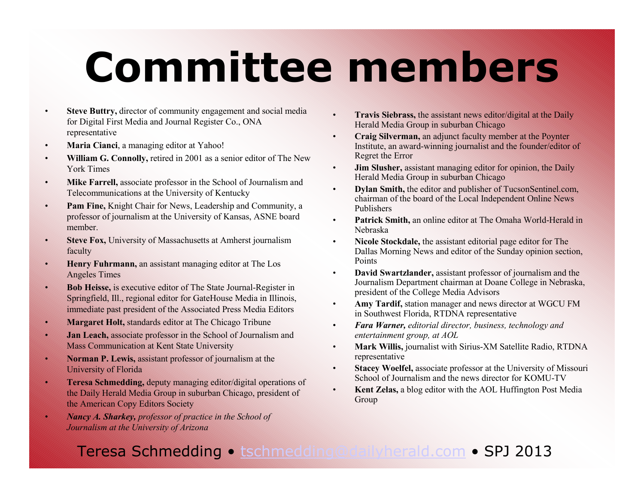# **Committee members**

- • **Steve Buttry,** director of community engagement and social media for Digital First Media and Journal Register Co., ONA representative
- •**Maria Cianci**, a managing editor at Yahoo!
- • **William G. Connolly,** retired in 2001 as a senior editor of The New York Times
- • **Mike Farrell,** associate professor in the School of Journalism andTelecommunications at the University of Kentucky
- **Pam Fine,** Knight Chair for News, Leadership and Community, a •professor of journalism at the University of Kansas, ASNE board member.
- •**Steve Fox, University of Massachusetts at Amherst journalism** faculty
- **Henry Fuhrmann,** an assistant managing editor at The Los •Angeles Times
- • **Bob Heisse,** is executive editor of The State Journal-Register in Springfield, Ill., regional editor for GateHouse Media in Illinois, immediate past president of the Associated Press Media Editors
- •**Margaret Holt,** standards editor at The Chicago Tribune
- • **Jan Leach,** associate professor in the School of Journalism andMass Communication at Kent State University
- **Norman P. Lewis, assistant professor of journalism at the** •University of Florida
- • **Teresa Schmedding,** deputy managing editor/digital operations of the Daily Herald Media Group in suburban Chicago, president of the American Copy Editors Society
- *Nancy A. Sharkey, professor of practice in the School of*  •*Journalism at the University of Arizona*
- • **Travis Siebrass,** the assistant news editor/digital at the Daily Herald Media Group in suburban Chicago
- **Craig Silverman,** an adjunct faculty member at the Poynter<br>Institute an award winning journalist and the founder/editor •Institute, an award-winning journalist and the founder/editor of Regret the Error
- •**Jim Slusher,** assistant managing editor for opinion, the Daily Herald Media Group in suburban Chicago
- **Dylan Smith,** the editor and publisher of TucsonSentinel.com, obvious of the board of the Local Independent Online News •chairman of the board of the Local Independent Online News Publishers
- **Patrick Smith,** an online editor at The Omaha World-Herald in •Nebraska
- **Nicole Stockdale,** the assistant editorial page editor for The •Dallas Morning News and editor of the Sunday opinion section, Points
- • **David Swartzlander,** assistant professor of journalism and the Journalism Department chairman at Doane College in Nebraska, president of the College Media Advisors
- **Amy Tardif,** station manager and news director at WGCU FM •in Southwest Florida, RTDNA representative
- *Fara Warner, editorial director, business, technology and*  •*entertainment group, at AOL*
- **Mark Willis,** journalist with Sirius-XM Satellite Radio, RTDNA •representative
- **Stacey Woelfel,** associate professor at the University of Missouri<br>Sobool of Journalism and the news director for KOMU TV •School of Journalism and the news director for KOMU-TV
- **Kent Zelas,** a blog editor with the AOL Huffington Post Media<br>Croup •Group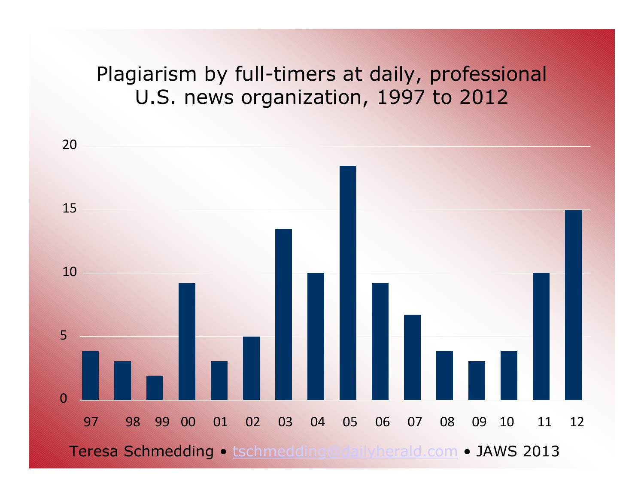#### Plagiarism by full-timers at daily, professional U.S. news organization, 1997 to 2012

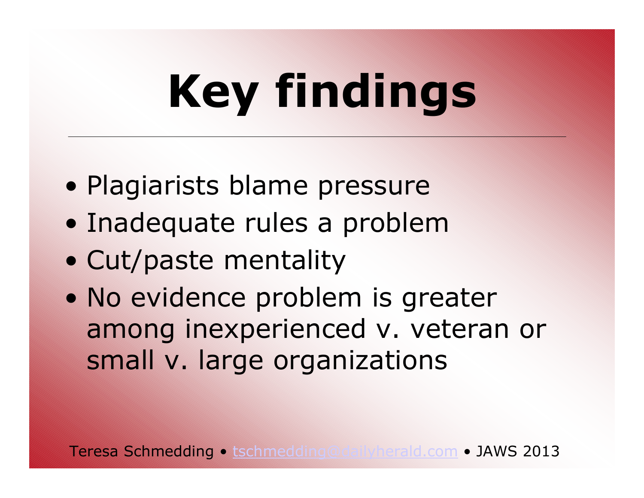# **Key findings**

- $\bullet$ Plagiarists blame pressure
- $\bullet$ Inadequate rules a problem
- $\bullet$ Cut/paste mentality
- $\bullet$ No evidence problem is greater<br>among inexperienced y veteran among inexperienced v. veteran or small v. large organizations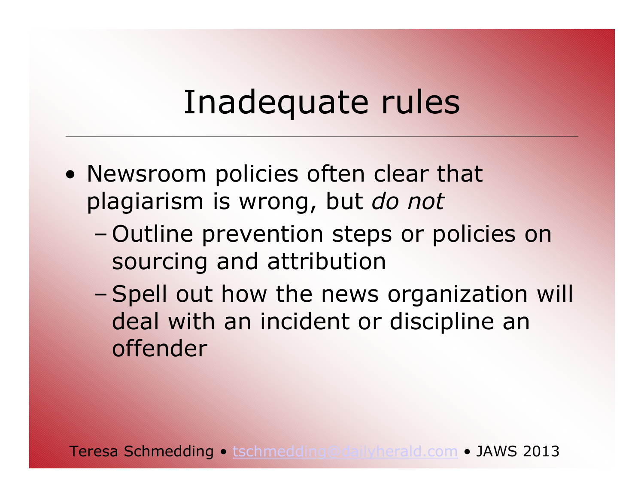### Inadequate rules

- Newsroom policies often clear that<br>• plagiarism is wrong but do not plagiarism is wrong, but *do not*
	- –Outline prevention steps or policies on<br>sourcing and attribution sourcing and attribution
	- –Spell out how the news organization will<br>deal with an incident or discinline an deal with an incident or discipline an offender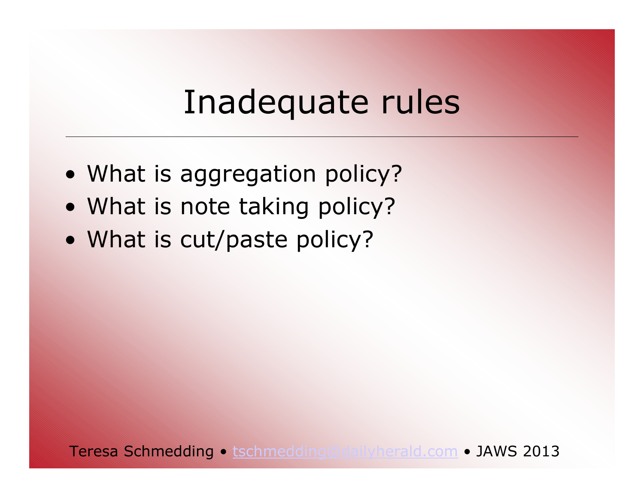### Inadequate rules

- What is aggregation policy?<br>• What is note toking policy?
- What is note taking policy?<br>• What is sut/paste policy?
- What is cut/paste policy?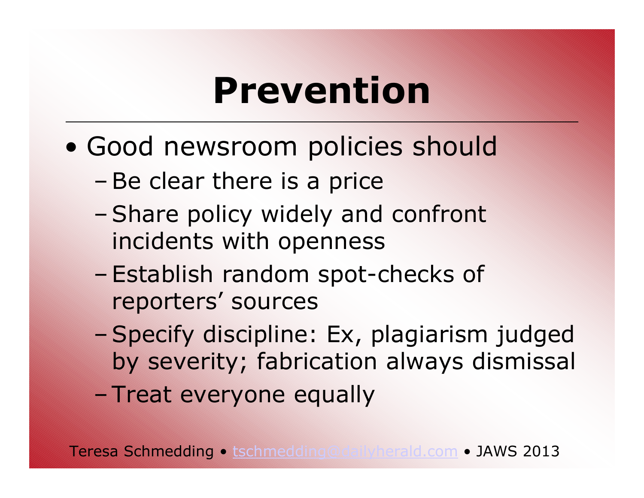## **Prevention**

- $\bullet$ Good newsroom policies should<br>Reclase there is a price
	- –Be clear there is a price
	- –Share policy widely and confront<br>incidents with onenness incidents with openness
	- –Establish random spot-checks of<br>renorters' sources reporters' sources
	- –Specify discipline: Ex, plagiarism judged<br>hy severity: fabrication always dismissal by severity; fabrication always dismissal
	- –Treat everyone equally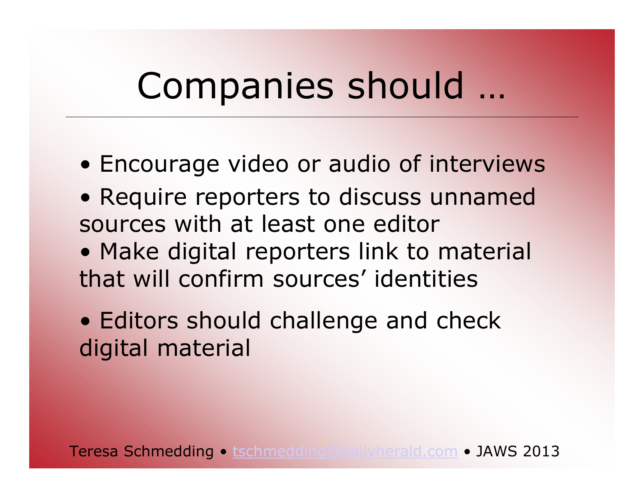## Companies should …

- Encourage video or audio of interviews
- Require reporters to discuss unnamed<br>sources with at least one editor sources with at least one editor
- Make digital reporters link to material<br>that will confirm sources' identities that will confirm sources' identities
- Editors should challenge and check<br>digital material digital material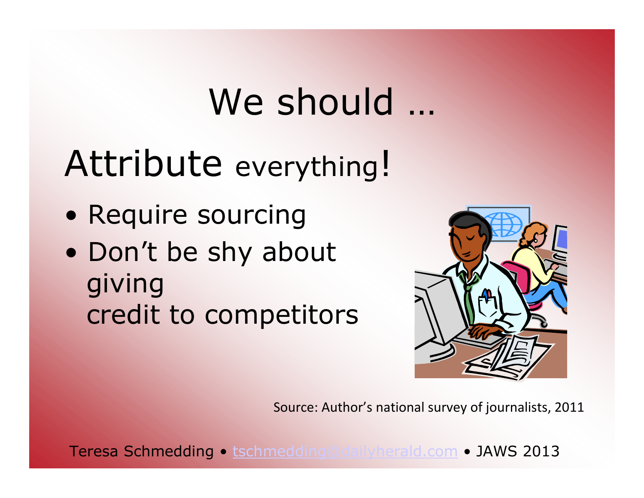# We should …

#### Attribute everything! |<br>|<br>|

- Require sourcing<br>• Den't be aby abe
- $\bullet$ Don't be shy about<br>qiving givingcredit to competitors



Source: Author's national survey of journalists, 2011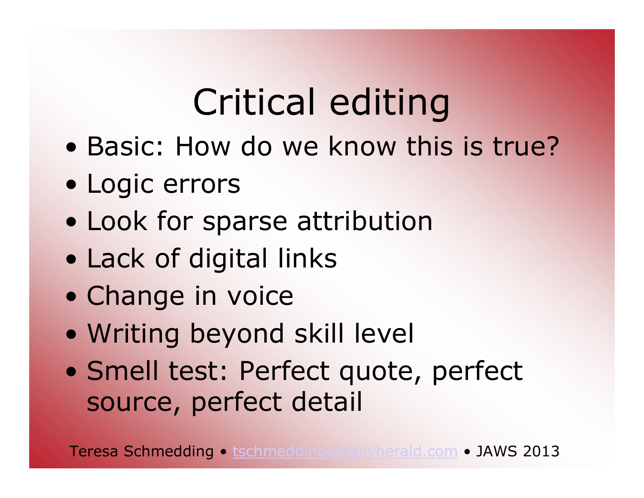## Critical editing

- Basic: How do we know th Basic: How do we know this is true?
- Logic errors<br>• Logic for ans
- $\bullet$ Look for sparse attribution
- $\bullet$ Lack of digital links
- $\bullet$ Change in voice
- $\bullet$ Writing beyond skill level
- $\bullet$  Smell test: Perfect quote, perfect source, perfect detail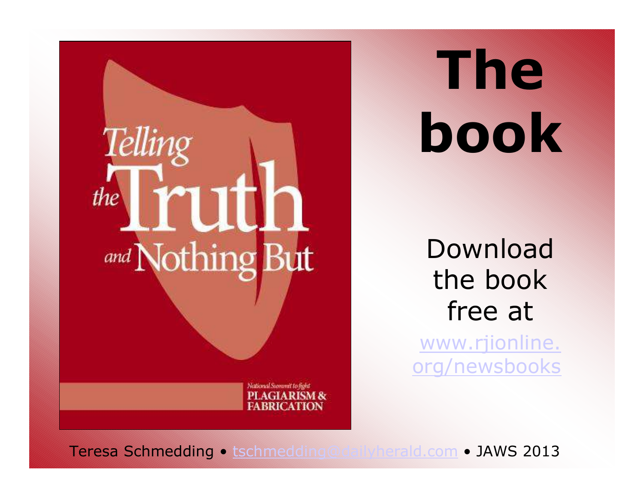

**The book**

Download the book free at www.rjionline.org/newsbooks